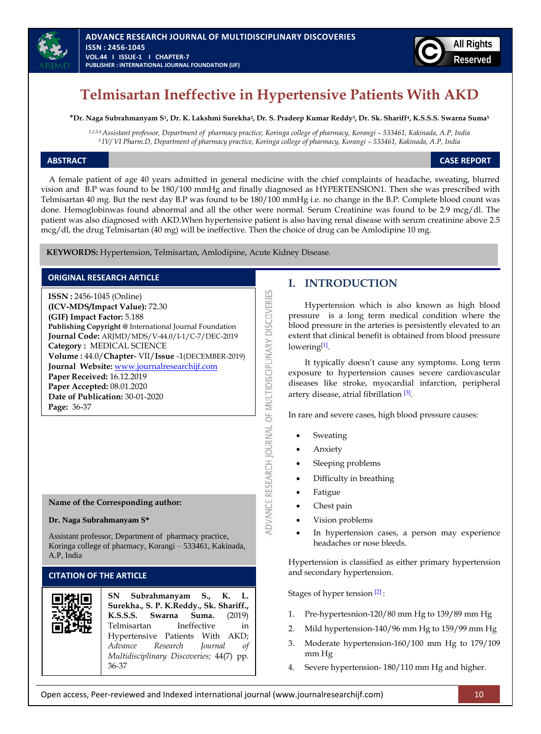



# **Telmisartan Ineffective in Hypertensive Patients With AKD**

**\*Dr. Naga Subrahmanyam S<sup>1</sup> , Dr. K. Lakshmi Surekha<sup>2</sup> , Dr. S. Pradeep Kumar Reddy<sup>3</sup> , Dr. Sk. Shariff<sup>4</sup> , K.S.S.S. Swarna Suma<sup>5</sup>**

1,2,3,4 Assistant professor, Department of pharmacy practice, Koringa college of pharmacy, Korangi - 533461, Kakinada, A.P, India *<sup>5</sup>IV/ VI Pharm.D, Department of pharmacy practice, Koringa college of pharmacy, Korangi – 533461, Kakinada, A.P, India*

**ABSTRACT CASE REPORT**

 A female patient of age 40 years admitted in general medicine with the chief complaints of headache, sweating, blurred vision and B.P was found to be 180/100 mmHg and finally diagnosed as HYPERTENSION1. Then she was prescribed with Telmisartan 40 mg. But the next day B.P was found to be 180/100 mmHg i.e. no change in the B.P. Complete blood count was done. Hemoglobinwas found abnormal and all the other were normal. Serum Creatinine was found to be 2.9 mcg/dl. The patient was also diagnosed with AKD.When hypertensive patient is also having renal disease with serum creatinine above 2.5 mcg/dl, the drug Telmisartan (40 mg) will be ineffective. Then the choice of drug can be Amlodipine 10 mg.

ADVANCE RESEARCH JOURNAL OF MULTIDISCIPLINARY DISCOVERIES

**KEYWORDS:** Hypertension, Telmisartan, Amlodipine, Acute Kidney Disease.

# **ORIGINAL RESEARCH ARTICLE**

**ISSN :** 2456-1045 (Online) **(ICV-MDS/Impact Value):** 72.30 **(GIF) Impact Factor:** 5.188 **Publishing Copyright @** International Journal Foundation **Journal Code:** ARJMD/MDS/V-44.0/I-1/C-7/DEC-2019 **Category :** MEDICAL SCIENCE **Volume :** 44.0/**Chapter**- VII/**Issue** -1(DECEMBER-2019) **Journal Website:** [www.journalresearchijf.com](http://www.journalresearchijf.com/) **Paper Received:** 16.12.2019 **Paper Accepted:** 08.01.2020 **Date of Publication:** 30-01-2020 **Page:** 36-37

**Name of the Corresponding author:**

#### **Dr. Naga Subrahmanyam S\***

Assistant professor, Department of pharmacy practice, Koringa college of pharmacy, Korangi – 533461, Kakinada, A.P, India

## **CITATION OF THE ARTICLE**

| SN Subrahmanyam S., K. L.<br>Surekha., S. P. K.Reddy., Sk. Shariff., |
|----------------------------------------------------------------------|
| K.S.S.S. Swarna Suma. (2019)                                         |
| Telmisartan Ineffective<br>in                                        |
| Hypertensive Patients With AKD;                                      |
| Advance Research Journal of                                          |
| Multidisciplinary Discoveries; 44(7) pp.                             |
| 36-37                                                                |

# **I. INTRODUCTION**

Hypertension which is also known as high blood pressure is a long term medical condition where the blood pressure in the arteries is persistently elevated to an extent that clinical benefit is obtained from blood pressure lowering<sup>[\[1\]](#page-1-0)</sup>.

It typically doesn't cause any symptoms. Long term exposure to hypertension causes severe cardiovascular diseases like stroke, myocardial infarction, peripheral artery disease, atrial fibrillation [\[3\]](#page-1-1).

In rare and severe cases, high blood pressure causes:

- Sweating
- Anxiety
- Sleeping problems
- Difficulty in breathing
- Fatigue
- Chest pain
- Vision problems
- In hypertension cases, a person may experience headaches or nose bleeds.

Hypertension is classified as either primary hypertension and secondary hypertension.

Stages of hyper tension [\[2\]](#page-1-2) :

- 1. Pre-hypertesnion-120/80 mm Hg to 139/89 mm Hg
- 2. Mild hypertension-140/96 mm Hg to 159/99 mm Hg
- 3. Moderate hypertension-160/100 mm Hg to 179/109 mm Hg
- 4. Severe hypertension- 180/110 mm Hg and higher.

Open access, Peer-reviewed and Indexed international journal (www.journalresearchijf.com) 10